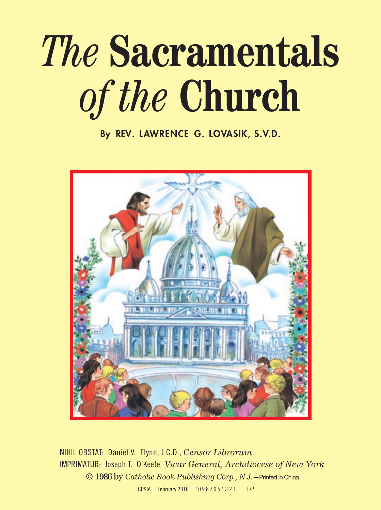## *The* **Sacramentals** *of the* **Church**

By REV. LAWRENCE G. LOVASIK, S.V.D.



NIHIL OBSTAT: Daniel V. Flynn, J.C.D., *Censor Librorum* IMPRIMATUR: Joseph T. O'Keefe, *Vicar General, Archdiocese of New York*  © 1986 by *Catholic Book Publishing Corp., N.J.*—Printed in China CPSIA February 2016 10 9 8 7 6 5 4 3 2 1 L/P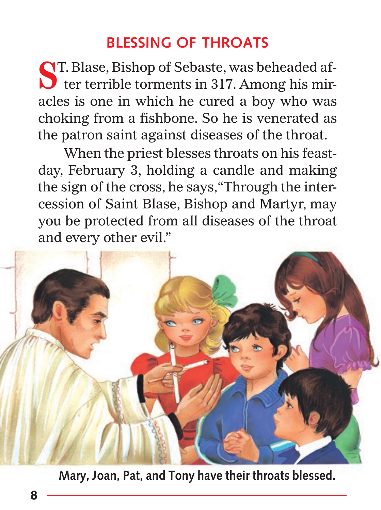## **BLESSING OF THROATS**

**CIT.** Blase, Bishop of Sebaste, was beheaded af-**S**T. Blase, Bishop of Sebaste, was beheaded after terrible torments in 317. Among his miracles is one in which he cured a boy who was choking from a fishbone. So he is venerated as the patron saint against diseases of the throat.

When the priest blesses throats on his feastday, February 3, holding a candle and making the sign of the cross, he says, "Through the intercession of Saint Blase, Bishop and Martyr, may you be protected from all diseases of the throat and every other evil."



**Mary, Joan, Pat, and Tony have their throats blessed.**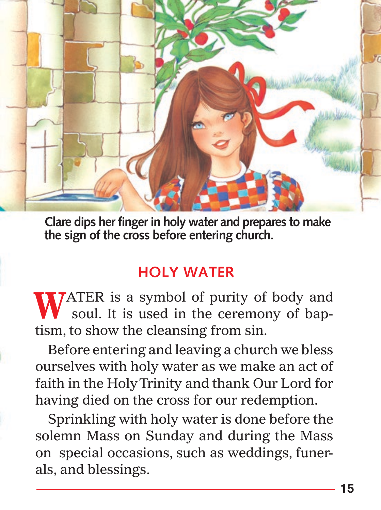

**Clare dips her finger in holy water and prepares to make the sign of the cross before entering church.** 

## **HOLY WATER**

**TATER** is a symbol of purity of body and WATER is a symbol of purity of body and soul. It is used in the ceremony of baptism, to show the cleansing from sin.

Before entering and leaving a church we bless ourselves with holy water as we make an act of faith in the Holy Trinity and thank Our Lord for having died on the cross for our redemption.

Sprinkling with holy water is done before the solemn Mass on Sunday and during the Mass on special occasions, such as weddings, funerals, and blessings.